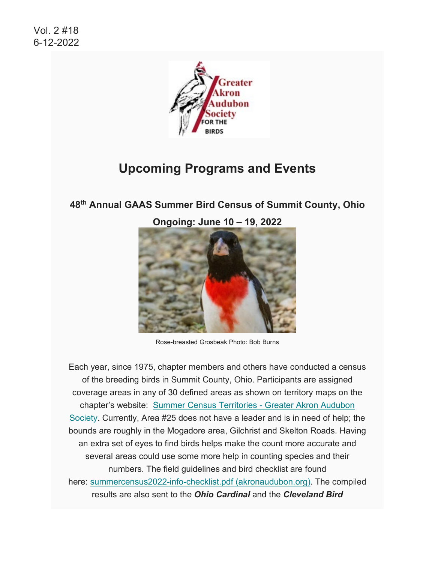

# **Upcoming Programs and Events**

**48th Annual GAAS Summer Bird Census of Summit County, Ohio**





Rose-breasted Grosbeak Photo: Bob Burns

Each year, since 1975, chapter members and others have conducted a census of the breeding birds in Summit County, Ohio. Participants are assigned coverage areas in any of 30 defined areas as shown on territory maps on the chapter's website: [Summer Census Territories - Greater Akron Audubon](https://www.akronaudubon.org/summer-census-territories.html)  [Society.](https://www.akronaudubon.org/summer-census-territories.html) Currently, Area #25 does not have a leader and is in need of help; the bounds are roughly in the Mogadore area, Gilchrist and Skelton Roads. Having an extra set of eyes to find birds helps make the count more accurate and several areas could use some more help in counting species and their numbers. The field guidelines and bird checklist are found here: [summercensus2022-info-checklist.pdf \(akronaudubon.org\).](https://www.akronaudubon.org/uploads/1/3/4/8/134895811/summercensus2022-info-checklist.pdf) The compiled results are also sent to the *Ohio Cardinal* and the *Cleveland Bird*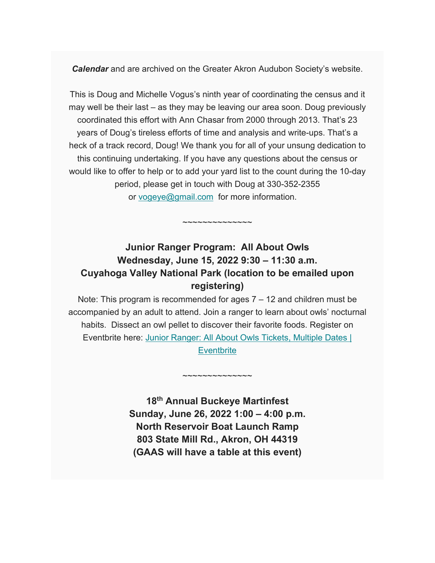*Calendar* and are archived on the Greater Akron Audubon Society's website.

This is Doug and Michelle Vogus's ninth year of coordinating the census and it may well be their last – as they may be leaving our area soon. Doug previously coordinated this effort with Ann Chasar from 2000 through 2013. That's 23 years of Doug's tireless efforts of time and analysis and write-ups. That's a heck of a track record, Doug! We thank you for all of your unsung dedication to this continuing undertaking. If you have any questions about the census or would like to offer to help or to add your yard list to the count during the 10-day period, please get in touch with Doug at 330-352-2355 or [vogeye@gmail.com](mailto:vogeye@gmail.com) for more information.

### **Junior Ranger Program: All About Owls Wednesday, June 15, 2022 9:30 – 11:30 a.m. Cuyahoga Valley National Park (location to be emailed upon registering)**

 $\sim$ ~~~~~~~~~~

Note: This program is recommended for ages 7 – 12 and children must be accompanied by an adult to attend. Join a ranger to learn about owls' nocturnal habits. Dissect an owl pellet to discover their favorite foods. Register on Eventbrite here: [Junior Ranger: All About Owls Tickets, Multiple Dates |](https://www.eventbrite.com/e/junior-ranger-all-about-owls-tickets-354576446697)  **[Eventbrite](https://www.eventbrite.com/e/junior-ranger-all-about-owls-tickets-354576446697)** 

> **18th Annual Buckeye Martinfest Sunday, June 26, 2022 1:00 – 4:00 p.m. North Reservoir Boat Launch Ramp 803 State Mill Rd., Akron, OH 44319 (GAAS will have a table at this event)**

 $\sim$ ~~~~~~~~~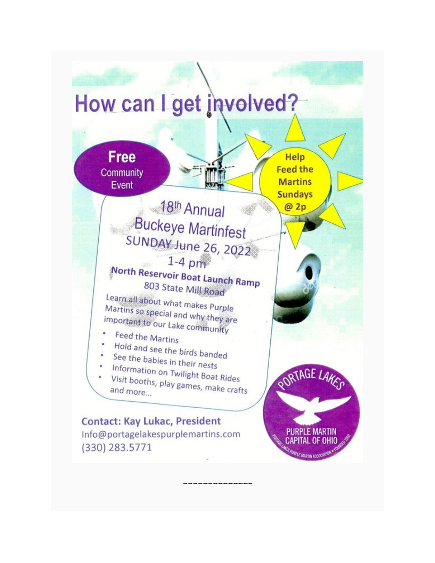

 $\sim$ ~~~~~~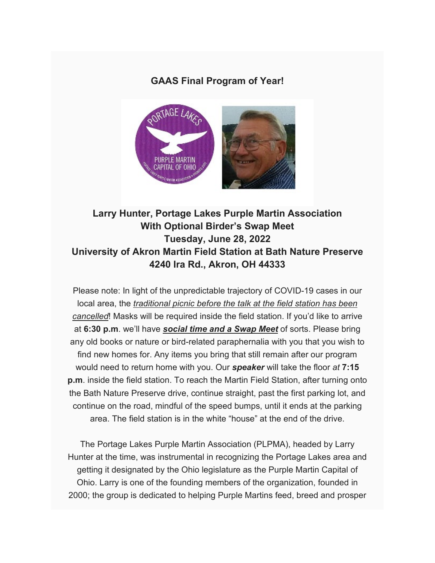#### **GAAS Final Program of Year!**



### **Larry Hunter, Portage Lakes Purple Martin Association With Optional Birder's Swap Meet Tuesday, June 28, 2022 University of Akron Martin Field Station at Bath Nature Preserve 4240 Ira Rd., Akron, OH 44333**

Please note: In light of the unpredictable trajectory of COVID-19 cases in our local area, the *traditional picnic before the talk at the field station has been cancelled*! Masks will be required inside the field station. If you'd like to arrive at **6:30 p.m**. we'll have *social time and a Swap Meet* of sorts. Please bring any old books or nature or bird-related paraphernalia with you that you wish to find new homes for. Any items you bring that still remain after our program would need to return home with you. Our *speaker* will take the floor *at* **7:15 p.m**. inside the field station. To reach the Martin Field Station, after turning onto the Bath Nature Preserve drive, continue straight, past the first parking lot, and continue on the road, mindful of the speed bumps, until it ends at the parking area. The field station is in the white "house" at the end of the drive.

The Portage Lakes Purple Martin Association (PLPMA), headed by Larry Hunter at the time, was instrumental in recognizing the Portage Lakes area and getting it designated by the Ohio legislature as the Purple Martin Capital of Ohio. Larry is one of the founding members of the organization, founded in 2000; the group is dedicated to helping Purple Martins feed, breed and prosper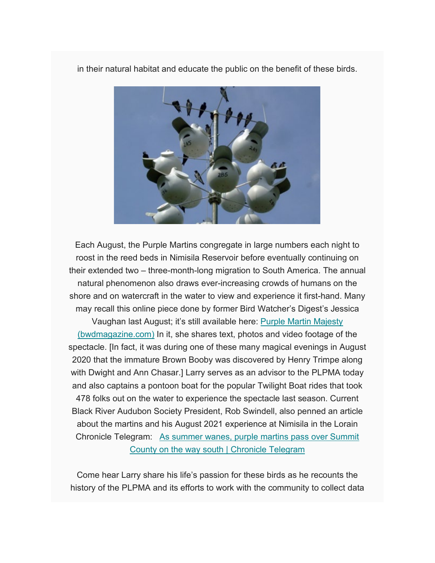in their natural habitat and educate the public on the benefit of these birds.



Each August, the Purple Martins congregate in large numbers each night to roost in the reed beds in Nimisila Reservoir before eventually continuing on their extended two – three-month-long migration to South America. The annual natural phenomenon also draws ever-increasing crowds of humans on the shore and on watercraft in the water to view and experience it first-hand. Many may recall this online piece done by former Bird Watcher's Digest's Jessica Vaughan last August; it's still available here: [Purple Martin Majesty](https://bwdmagazine.com/blog/traveling-for-bird-watching/purple-martin-majesty/)  [\(bwdmagazine.com\)](https://bwdmagazine.com/blog/traveling-for-bird-watching/purple-martin-majesty/) In it, she shares text, photos and video footage of the spectacle. [In fact, it was during one of these many magical evenings in August 2020 that the immature Brown Booby was discovered by Henry Trimpe along with Dwight and Ann Chasar.] Larry serves as an advisor to the PLPMA today and also captains a pontoon boat for the popular Twilight Boat rides that took 478 folks out on the water to experience the spectacle last season. Current Black River Audubon Society President, Rob Swindell, also penned an article about the martins and his August 2021 experience at Nimisila in the Lorain Chronicle Telegram: [As summer wanes, purple martins pass over Summit](https://chroniclet.com/news/272675/as-summer-wanes-purple-martins-pass-over-summit-county-on-the-way-south/?fbclid=IwAR22TMWlakdiloPo4iI3iVy2HKpcsy5GQ-aIBiKR8n5NzIjHj6vRxT4PlQU)  [County on the way south | Chronicle Telegram](https://chroniclet.com/news/272675/as-summer-wanes-purple-martins-pass-over-summit-county-on-the-way-south/?fbclid=IwAR22TMWlakdiloPo4iI3iVy2HKpcsy5GQ-aIBiKR8n5NzIjHj6vRxT4PlQU)

Come hear Larry share his life's passion for these birds as he recounts the history of the PLPMA and its efforts to work with the community to collect data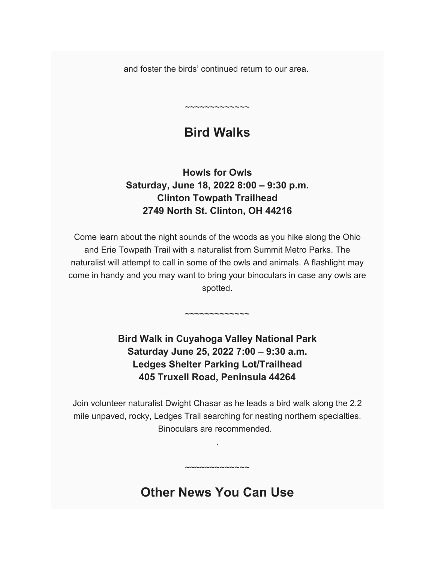and foster the birds' continued return to our area.

# **Bird Walks**

~~~~~~~~~~~~~

### **Howls for Owls Saturday, June 18, 2022 8:00 – 9:30 p.m. Clinton Towpath Trailhead 2749 North St. Clinton, OH 44216**

Come learn about the night sounds of the woods as you hike along the Ohio and Erie Towpath Trail with a naturalist from Summit Metro Parks. The naturalist will attempt to call in some of the owls and animals. A flashlight may come in handy and you may want to bring your binoculars in case any owls are spotted.

## **Bird Walk in Cuyahoga Valley National Park Saturday June 25, 2022 7:00 – 9:30 a.m. Ledges Shelter Parking Lot/Trailhead 405 Truxell Road, Peninsula 44264**

 $\sim$ ~~~~~~~~~

Join volunteer naturalist Dwight Chasar as he leads a bird walk along the 2.2 mile unpaved, rocky, Ledges Trail searching for nesting northern specialties. Binoculars are recommended.

.

## **Other News You Can Use**

~~~~~~~~~~~~~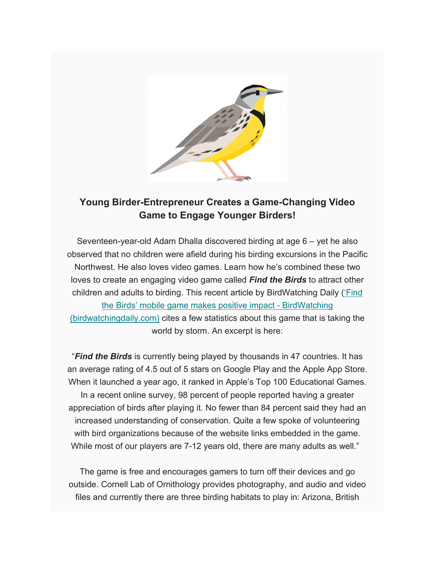

#### **Young Birder-Entrepreneur Creates a Game-Changing Video Game to Engage Younger Birders!**

Seventeen-year-old Adam Dhalla discovered birding at age 6 – yet he also observed that no children were afield during his birding excursions in the Pacific Northwest. He also loves video games. Learn how he's combined these two loves to create an engaging video game called *Find the Birds* to attract other children and adults to birding. This recent article by BirdWatching Daily [\('Find](https://www.birdwatchingdaily.com/news/birdwatching/find-the-birds-mobile-game-makes-positive-impact/)  [the Birds' mobile game makes positive impact -](https://www.birdwatchingdaily.com/news/birdwatching/find-the-birds-mobile-game-makes-positive-impact/) BirdWatching [\(birdwatchingdaily.com\)](https://www.birdwatchingdaily.com/news/birdwatching/find-the-birds-mobile-game-makes-positive-impact/) cites a few statistics about this game that is taking the world by storm. An excerpt is here:

"*Find the Birds* is currently being played by thousands in 47 countries. It has an average rating of 4.5 out of 5 stars on Google Play and the Apple App Store. When it launched a year ago, it ranked in Apple's Top 100 Educational Games. In a recent online survey, 98 percent of people reported having a greater appreciation of birds after playing it. No fewer than 84 percent said they had an increased understanding of conservation. Quite a few spoke of volunteering with bird organizations because of the website links embedded in the game. While most of our players are 7-12 years old, there are many adults as well."

The game is free and encourages gamers to turn off their devices and go outside. Cornell Lab of Ornithology provides photography, and audio and video files and currently there are three birding habitats to play in: Arizona, British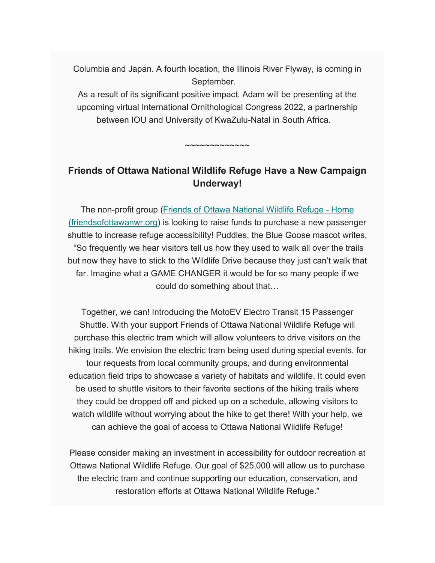Columbia and Japan. A fourth location, the Illinois River Flyway, is coming in September.

As a result of its significant positive impact, Adam will be presenting at the upcoming virtual International Ornithological Congress 2022, a partnership between IOU and University of KwaZulu-Natal in South Africa.

**Friends of Ottawa National Wildlife Refuge Have a New Campaign Underway!**

 $\sim$ ~~~~~~~~

The non-profit group [\(Friends of Ottawa National Wildlife Refuge -](https://www.friendsofottawanwr.org/) Home [\(friendsofottawanwr.org\)](https://www.friendsofottawanwr.org/) is looking to raise funds to purchase a new passenger shuttle to increase refuge accessibility! Puddles, the Blue Goose mascot writes, "So frequently we hear visitors tell us how they used to walk all over the trails but now they have to stick to the Wildlife Drive because they just can't walk that far. Imagine what a GAME CHANGER it would be for so many people if we could do something about that…

Together, we can! Introducing the MotoEV Electro Transit 15 Passenger Shuttle. With your support Friends of Ottawa National Wildlife Refuge will purchase this electric tram which will allow volunteers to drive visitors on the hiking trails. We envision the electric tram being used during special events, for tour requests from local community groups, and during environmental education field trips to showcase a variety of habitats and wildlife. It could even be used to shuttle visitors to their favorite sections of the hiking trails where they could be dropped off and picked up on a schedule, allowing visitors to watch wildlife without worrying about the hike to get there! With your help, we can achieve the goal of access to Ottawa National Wildlife Refuge!

Please consider making an investment in accessibility for outdoor recreation at Ottawa National Wildlife Refuge. Our goal of \$25,000 will allow us to purchase the electric tram and continue supporting our education, conservation, and restoration efforts at Ottawa National Wildlife Refuge."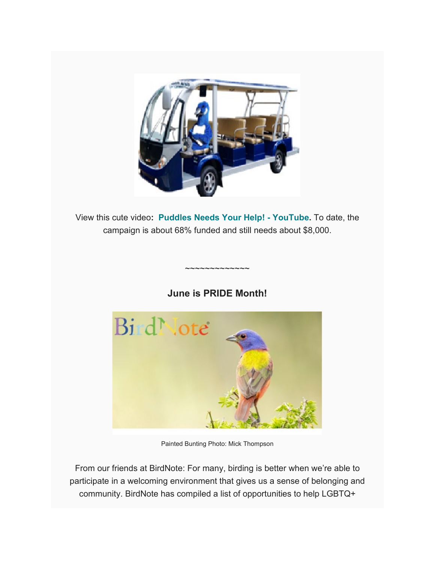

View this cute video**: [Puddles Needs Your Help! -](https://www.youtube.com/watch?v=Migm2TpwdUc) YouTube.** To date, the campaign is about 68% funded and still needs about \$8,000.

#### **June is PRIDE Month!**

~~~~~~~~~~~~~



Painted Bunting Photo: Mick Thompson

From our friends at BirdNote: For many, birding is better when we're able to participate in a welcoming environment that gives us a sense of belonging and community. BirdNote has compiled a list of opportunities to help LGBTQ+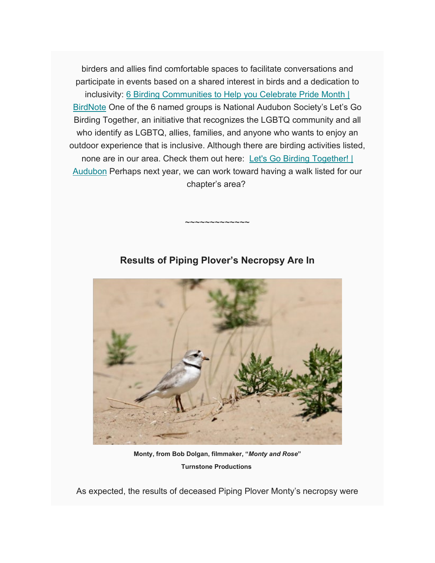birders and allies find comfortable spaces to facilitate conversations and participate in events based on a shared interest in birds and a dedication to inclusivity: [6 Birding Communities to Help you Celebrate Pride Month |](https://www.birdnote.org/explore/field-notes/2022/06/6-birding-communities-help-you-celebrate-pride-month?fbclid=IwAR1-vJ5LHFKM4V79uvTwjVNRca8MrIStORR1TuUzfAqwUCvlrVUyGpj3YcE)  [BirdNote](https://www.birdnote.org/explore/field-notes/2022/06/6-birding-communities-help-you-celebrate-pride-month?fbclid=IwAR1-vJ5LHFKM4V79uvTwjVNRca8MrIStORR1TuUzfAqwUCvlrVUyGpj3YcE) One of the 6 named groups is National Audubon Society's Let's Go Birding Together, an initiative that recognizes the LGBTQ community and all who identify as LGBTQ, allies, families, and anyone who wants to enjoy an outdoor experience that is inclusive. Although there are birding activities listed, none are in our area. Check them out here: Let's Go Birding Together! | [Audubon](https://www.audubon.org/news/lets-go-birding-together) Perhaps next year, we can work toward having a walk listed for our chapter's area?



**Results of Piping Plover's Necropsy Are In**

~~~~~~~~~~~~~

**Monty, from Bob Dolgan, filmmaker, "***Monty and Rose***" Turnstone Productions**

As expected, the results of deceased Piping Plover Monty's necropsy were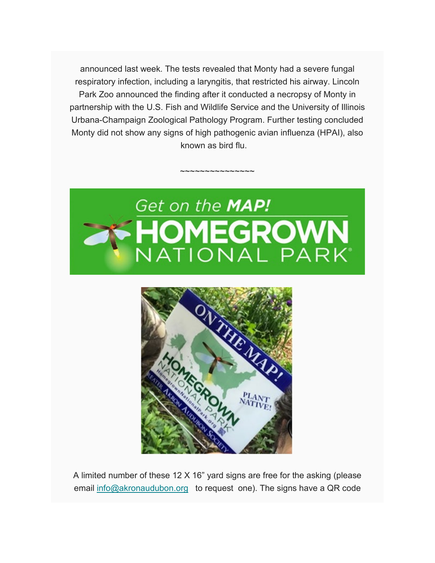announced last week. The tests revealed that Monty had a severe fungal respiratory infection, including a laryngitis, that restricted his airway. Lincoln Park Zoo announced the finding after it conducted a necropsy of Monty in partnership with the U.S. Fish and Wildlife Service and the University of Illinois Urbana-Champaign Zoological Pathology Program. Further testing concluded Monty did not show any signs of high pathogenic avian influenza (HPAI), also known as bird flu.

~~~~~~~~~~~~~~~





A limited number of these 12 X 16" yard signs are free for the asking (please email [info@akronaudubon.org](mailto:info@akronaudubon.org) to request one). The signs have a QR code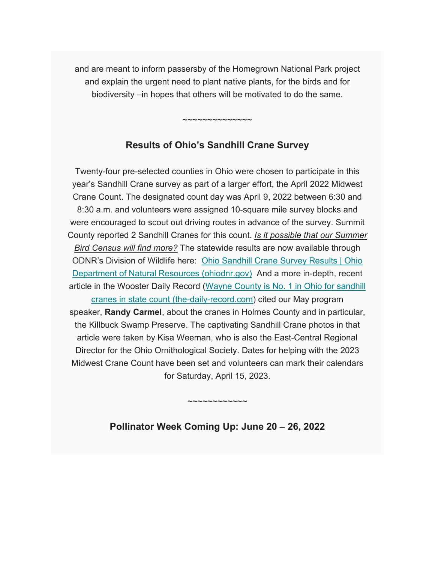and are meant to inform passersby of the Homegrown National Park project and explain the urgent need to plant native plants, for the birds and for biodiversity –in hopes that others will be motivated to do the same.

#### **Results of Ohio's Sandhill Crane Survey**

~~~~~~~~~~~~~~

Twenty-four pre-selected counties in Ohio were chosen to participate in this year's Sandhill Crane survey as part of a larger effort, the April 2022 Midwest Crane Count. The designated count day was April 9, 2022 between 6:30 and 8:30 a.m. and volunteers were assigned 10-square mile survey blocks and were encouraged to scout out driving routes in advance of the survey. Summit County reported 2 Sandhill Cranes for this count. *Is it possible that our Summer Bird Census will find more?* The statewide results are now available through ODNR's Division of Wildlife here: [Ohio Sandhill Crane Survey Results | Ohio](https://ohiodnr.gov/discover-and-learn/safety-conservation/about-ODNR/news/Sandhill-Crane-Survey-Results)  [Department of Natural Resources \(ohiodnr.gov\)](https://ohiodnr.gov/discover-and-learn/safety-conservation/about-ODNR/news/Sandhill-Crane-Survey-Results) And a more in-depth, recent article in the Wooster Daily Record [\(Wayne County is No. 1 in Ohio for sandhill](https://www.the-daily-record.com/story/sports/outdoors/2022/05/30/wayne-county-no-1-ohio-sandhill-cranes-state-count/9946917002/)  [cranes in state count \(the-daily-record.com\)](https://www.the-daily-record.com/story/sports/outdoors/2022/05/30/wayne-county-no-1-ohio-sandhill-cranes-state-count/9946917002/) cited our May program speaker, **Randy Carmel**, about the cranes in Holmes County and in particular, the Killbuck Swamp Preserve. The captivating Sandhill Crane photos in that article were taken by Kisa Weeman, who is also the East-Central Regional Director for the Ohio Ornithological Society. Dates for helping with the 2023 Midwest Crane Count have been set and volunteers can mark their calendars for Saturday, April 15, 2023.

**Pollinator Week Coming Up: June 20 – 26, 2022**

 $\sim$ ~~~~~~~~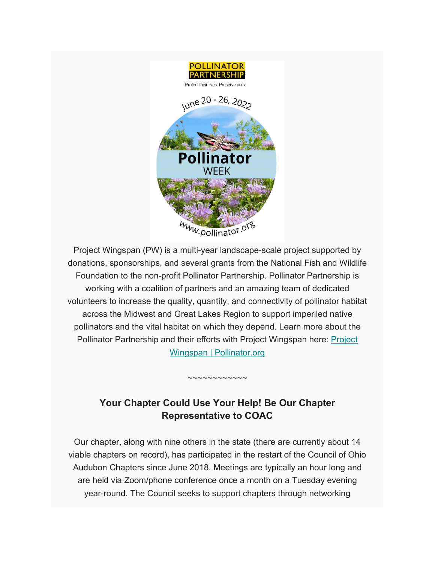

Project Wingspan (PW) is a multi-year landscape-scale project supported by donations, sponsorships, and several grants from the National Fish and Wildlife Foundation to the non-profit Pollinator Partnership. Pollinator Partnership is working with a coalition of partners and an amazing team of dedicated volunteers to increase the quality, quantity, and connectivity of pollinator habitat across the Midwest and Great Lakes Region to support imperiled native pollinators and the vital habitat on which they depend. Learn more about the Pollinator Partnership and their efforts with [Project](https://pollinator.org/wingspan) Wingspan here: Project [Wingspan | Pollinator.org](https://pollinator.org/wingspan)

### **Your Chapter Could Use Your Help! Be Our Chapter Representative to COAC**

 $\sim$ ~~~~~~~

Our chapter, along with nine others in the state (there are currently about 14 viable chapters on record), has participated in the restart of the Council of Ohio Audubon Chapters since June 2018. Meetings are typically an hour long and are held via Zoom/phone conference once a month on a Tuesday evening year-round. The Council seeks to support chapters through networking